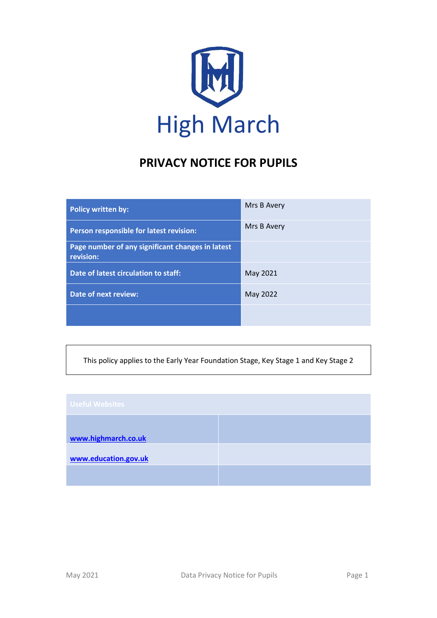

# **PRIVACY NOTICE FOR PUPILS**

| Policy written by:                                            | Mrs B Avery |
|---------------------------------------------------------------|-------------|
| Person responsible for latest revision:                       | Mrs B Avery |
| Page number of any significant changes in latest<br>revision: |             |
| Date of latest circulation to staff:                          | May 2021    |
| <b>Date of next review:</b>                                   | May 2022    |
|                                                               |             |

This policy applies to the Early Year Foundation Stage, Key Stage 1 and Key Stage 2

| <b>Useful Websites</b> |  |
|------------------------|--|
| www.highmarch.co.uk    |  |
| www.education.gov.uk   |  |
|                        |  |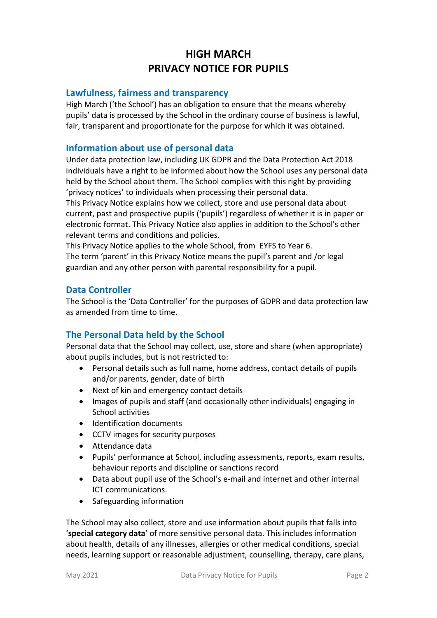# **HIGH MARCH PRIVACY NOTICE FOR PUPILS**

#### **Lawfulness, fairness and transparency**

High March ('the School') has an obligation to ensure that the means whereby pupils' data is processed by the School in the ordinary course of business is lawful, fair, transparent and proportionate for the purpose for which it was obtained.

# **Information about use of personal data**

Under data protection law, including UK GDPR and the Data Protection Act 2018 individuals have a right to be informed about how the School uses any personal data held by the School about them. The School complies with this right by providing 'privacy notices' to individuals when processing their personal data.

This Privacy Notice explains how we collect, store and use personal data about current, past and prospective pupils ('pupils') regardless of whether it is in paper or electronic format. This Privacy Notice also applies in addition to the School's other relevant terms and conditions and policies.

This Privacy Notice applies to the whole School, from EYFS to Year 6. The term 'parent' in this Privacy Notice means the pupil's parent and /or legal guardian and any other person with parental responsibility for a pupil.

# **Data Controller**

The School is the 'Data Controller' for the purposes of GDPR and data protection law as amended from time to time.

# **The Personal Data held by the School**

Personal data that the School may collect, use, store and share (when appropriate) about pupils includes, but is not restricted to:

- Personal details such as full name, home address, contact details of pupils and/or parents, gender, date of birth
- Next of kin and emergency contact details
- Images of pupils and staff (and occasionally other individuals) engaging in School activities
- Identification documents
- CCTV images for security purposes
- Attendance data
- Pupils' performance at School, including assessments, reports, exam results, behaviour reports and discipline or sanctions record
- Data about pupil use of the School's e-mail and internet and other internal ICT communications.
- Safeguarding information

The School may also collect, store and use information about pupils that falls into '**special category data**' of more sensitive personal data. This includes information about health, details of any illnesses, allergies or other medical conditions, special needs, learning support or reasonable adjustment, counselling, therapy, care plans,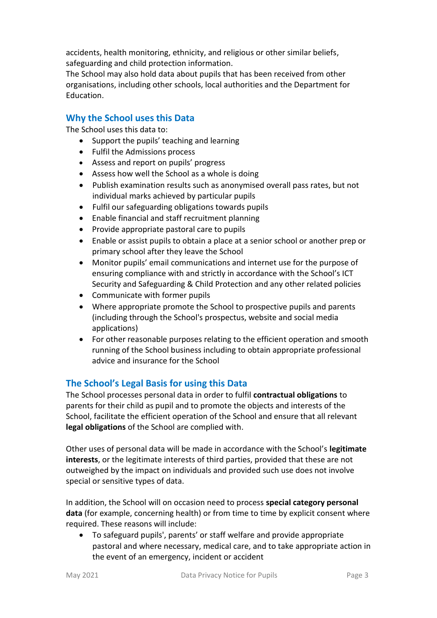accidents, health monitoring, ethnicity, and religious or other similar beliefs, safeguarding and child protection information.

The School may also hold data about pupils that has been received from other organisations, including other schools, local authorities and the Department for Education.

# **Why the School uses this Data**

The School uses this data to:

- Support the pupils' teaching and learning
- Fulfil the Admissions process
- Assess and report on pupils' progress
- Assess how well the School as a whole is doing
- Publish examination results such as anonymised overall pass rates, but not individual marks achieved by particular pupils
- Fulfil our safeguarding obligations towards pupils
- Enable financial and staff recruitment planning
- Provide appropriate pastoral care to pupils
- Enable or assist pupils to obtain a place at a senior school or another prep or primary school after they leave the School
- Monitor pupils' email communications and internet use for the purpose of ensuring compliance with and strictly in accordance with the School's ICT Security and Safeguarding & Child Protection and any other related policies
- Communicate with former pupils
- Where appropriate promote the School to prospective pupils and parents (including through the School's prospectus, website and social media applications)
- For other reasonable purposes relating to the efficient operation and smooth running of the School business including to obtain appropriate professional advice and insurance for the School

# **The School's Legal Basis for using this Data**

The School processes personal data in order to fulfil **contractual obligations** to parents for their child as pupil and to promote the objects and interests of the School, facilitate the efficient operation of the School and ensure that all relevant **legal obligations** of the School are complied with.

Other uses of personal data will be made in accordance with the School's **legitimate interests**, or the legitimate interests of third parties, provided that these are not outweighed by the impact on individuals and provided such use does not involve special or sensitive types of data.

In addition, the School will on occasion need to process **special category personal data** (for example, concerning health) or from time to time by explicit consent where required. These reasons will include:

 To safeguard pupils', parents' or staff welfare and provide appropriate pastoral and where necessary, medical care, and to take appropriate action in the event of an emergency, incident or accident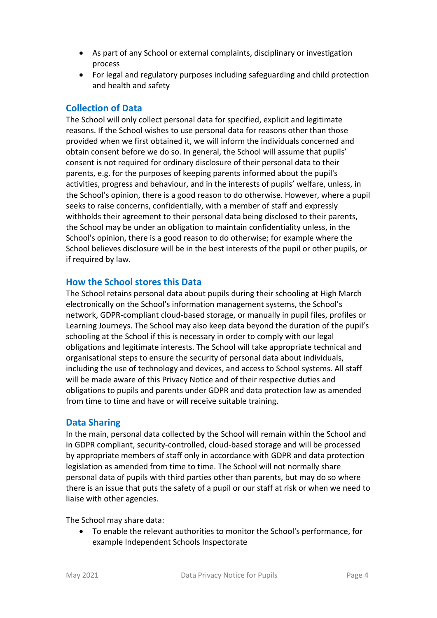- As part of any School or external complaints, disciplinary or investigation process
- For legal and regulatory purposes including safeguarding and child protection and health and safety

# **Collection of Data**

The School will only collect personal data for specified, explicit and legitimate reasons. If the School wishes to use personal data for reasons other than those provided when we first obtained it, we will inform the individuals concerned and obtain consent before we do so. In general, the School will assume that pupils' consent is not required for ordinary disclosure of their personal data to their parents, e.g. for the purposes of keeping parents informed about the pupil's activities, progress and behaviour, and in the interests of pupils' welfare, unless, in the School's opinion, there is a good reason to do otherwise. However, where a pupil seeks to raise concerns, confidentially, with a member of staff and expressly withholds their agreement to their personal data being disclosed to their parents, the School may be under an obligation to maintain confidentiality unless, in the School's opinion, there is a good reason to do otherwise; for example where the School believes disclosure will be in the best interests of the pupil or other pupils, or if required by law.

# **How the School stores this Data**

The School retains personal data about pupils during their schooling at High March electronically on the School's information management systems, the School's network, GDPR-compliant cloud-based storage, or manually in pupil files, profiles or Learning Journeys. The School may also keep data beyond the duration of the pupil's schooling at the School if this is necessary in order to comply with our legal obligations and legitimate interests. The School will take appropriate technical and organisational steps to ensure the security of personal data about individuals, including the use of technology and devices, and access to School systems. All staff will be made aware of this Privacy Notice and of their respective duties and obligations to pupils and parents under GDPR and data protection law as amended from time to time and have or will receive suitable training.

# **Data Sharing**

In the main, personal data collected by the School will remain within the School and in GDPR compliant, security-controlled, cloud-based storage and will be processed by appropriate members of staff only in accordance with GDPR and data protection legislation as amended from time to time. The School will not normally share personal data of pupils with third parties other than parents, but may do so where there is an issue that puts the safety of a pupil or our staff at risk or when we need to liaise with other agencies.

The School may share data:

 To enable the relevant authorities to monitor the School's performance, for example Independent Schools Inspectorate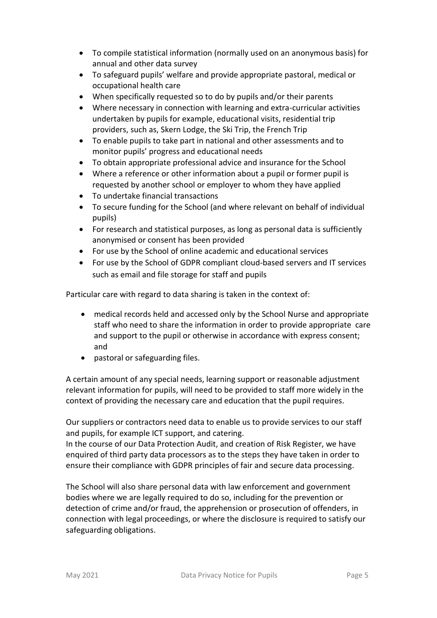- To compile statistical information (normally used on an anonymous basis) for annual and other data survey
- To safeguard pupils' welfare and provide appropriate pastoral, medical or occupational health care
- When specifically requested so to do by pupils and/or their parents
- Where necessary in connection with learning and extra-curricular activities undertaken by pupils for example, educational visits, residential trip providers, such as, Skern Lodge, the Ski Trip, the French Trip
- To enable pupils to take part in national and other assessments and to monitor pupils' progress and educational needs
- To obtain appropriate professional advice and insurance for the School
- Where a reference or other information about a pupil or former pupil is requested by another school or employer to whom they have applied
- To undertake financial transactions
- To secure funding for the School (and where relevant on behalf of individual pupils)
- For research and statistical purposes, as long as personal data is sufficiently anonymised or consent has been provided
- For use by the School of online academic and educational services
- For use by the School of GDPR compliant cloud-based servers and IT services such as email and file storage for staff and pupils

Particular care with regard to data sharing is taken in the context of:

- medical records held and accessed only by the School Nurse and appropriate staff who need to share the information in order to provide appropriate care and support to the pupil or otherwise in accordance with express consent; and
- pastoral or safeguarding files.

A certain amount of any special needs, learning support or reasonable adjustment relevant information for pupils, will need to be provided to staff more widely in the context of providing the necessary care and education that the pupil requires.

Our suppliers or contractors need data to enable us to provide services to our staff and pupils, for example ICT support, and catering.

In the course of our Data Protection Audit, and creation of Risk Register, we have enquired of third party data processors as to the steps they have taken in order to ensure their compliance with GDPR principles of fair and secure data processing.

The School will also share personal data with law enforcement and government bodies where we are legally required to do so, including for the prevention or detection of crime and/or fraud, the apprehension or prosecution of offenders, in connection with legal proceedings, or where the disclosure is required to satisfy our safeguarding obligations.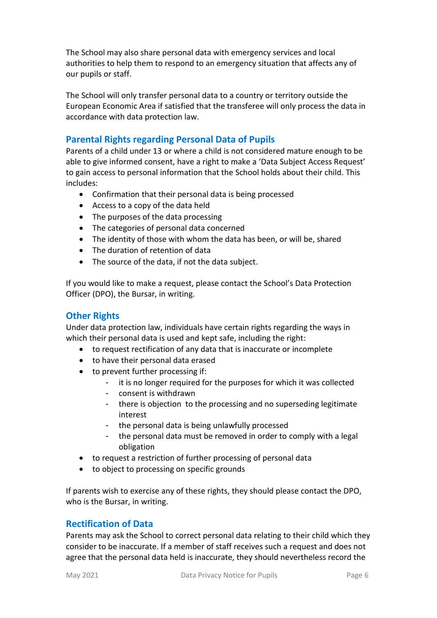The School may also share personal data with emergency services and local authorities to help them to respond to an emergency situation that affects any of our pupils or staff.

The School will only transfer personal data to a country or territory outside the European Economic Area if satisfied that the transferee will only process the data in accordance with data protection law.

# **Parental Rights regarding Personal Data of Pupils**

Parents of a child under 13 or where a child is not considered mature enough to be able to give informed consent, have a right to make a 'Data Subject Access Request' to gain access to personal information that the School holds about their child. This includes:

- Confirmation that their personal data is being processed
- Access to a copy of the data held
- The purposes of the data processing
- The categories of personal data concerned
- The identity of those with whom the data has been, or will be, shared
- The duration of retention of data
- The source of the data, if not the data subject.

If you would like to make a request, please contact the School's Data Protection Officer (DPO), the Bursar, in writing.

# **Other Rights**

Under data protection law, individuals have certain rights regarding the ways in which their personal data is used and kept safe, including the right:

- to request rectification of any data that is inaccurate or incomplete
- to have their personal data erased
- to prevent further processing if:
	- it is no longer required for the purposes for which it was collected
	- consent is withdrawn
	- there is objection to the processing and no superseding legitimate interest
	- the personal data is being unlawfully processed
	- the personal data must be removed in order to comply with a legal obligation
- to request a restriction of further processing of personal data
- to object to processing on specific grounds

If parents wish to exercise any of these rights, they should please contact the DPO, who is the Bursar, in writing.

# **Rectification of Data**

Parents may ask the School to correct personal data relating to their child which they consider to be inaccurate. If a member of staff receives such a request and does not agree that the personal data held is inaccurate, they should nevertheless record the